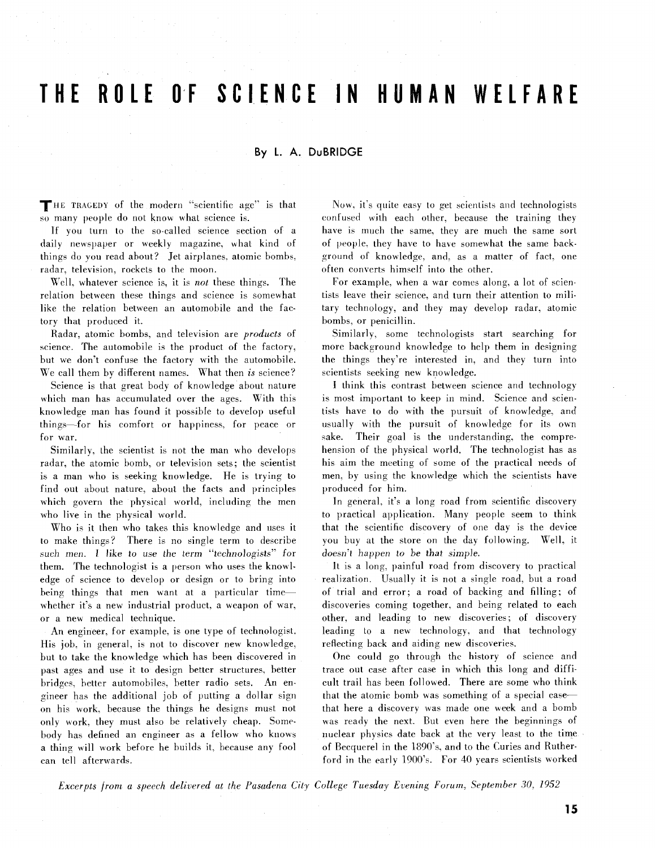## **THE ROLE OdF SCIENCE IN HU AN WELFARE**

## By L. A. DuBRIDGE

THE TRAGEDY of the modern "scientific age" is that so many people do not know what science is.

If you turn to the so-called science section of a daily newspaper or weekly magazine, what kind of things do you read about? Jet airplanes, atomic bombs. radar, television, rockets to the moon.

Well, whatever science is, it is *not* these things. The relation between these things and science is somewhat like the relation between an automobile and the factory that produced it.

Radar, atomic bombs, and television are *products* of science. The automobile is the product of the factory. but we don't confuse the factory with the automobile. We call them by different names. What then is science?

Science is that great body of knowledge about nature which man has accumulated over the ages. With this knowledge man has found it possible to develop useful things-for his comfort or happiness, for peace or for war.

Similarly, the scientist is not the man who develops radar, the atomic bomb, or television sets; the scientist is a man who is seeking knowledge. He is trying to find out about nature, about the facts and principles which govern the physical world, including the men who live in the physical world.

Who is it then who takes this knowledge and uses it to make things? There is no single term to describe such men. I like to use the term "technologists" for them. The technologist is a person who uses the knowledge of science to develop or design or to bring into being things that men want at a particular timewhether it's a new industrial product, a weapon of war, or a new medical technique.

An engineer, for example. is one type of technologist. His job, in general, is not to discover new knowledge, but to take the knowledge which has been discovered in past ages and use it to design better structures, better bridges, better automobiles. better radio sets. An engineer has the additional job of putting a dollar sign on his work, because the things he designs must not only work, they must also be relatively cheap. Somebody ha5 defined an engineer a5 a fellow who knows a thing will work before he builds it, because any fool can tell afterwards.

Now, it's quite easy to get scientists and technologists confused with each other. because the training they have is much the same, they are much the same sort of people. they have to have somewhat the same background of knowledge, and. as a matter of fact, one often converts himself into the other.

For example, when a war comes along, a lot of scientists leave their science, and turn their attention to military technology, and they may develop radar, atomic bombs, or penicillin.

Similarly. some technologists start searching for more background knowledge to help them in designing the things they're interested in, and they turn into scientists seeking new knowledge.

I think this contrast between science and technology is most important to keep in mind. Science and scientists have to do with the pursuit of knowledge, and usually with the pursuit of knowledge for its own sake. Their goal is the understanding, the comprehension of the physical world. The technologist has as his aim the meeting of some of the practical needs of men. by using the knowledge which the scientists have produced for him.

In general, it's a long road from scientific discovery to practical application. Many people seem to think that the scientific discovery of one day is the device you buy at the store on the day following. Well, it doesn't happen to be that simple.

It is a long. painful road from discovery to practical realization. Usually it is not a single road, but a road of trial and error; a road of backing and filling; of discoveries coming together, and being related to each other, and leading to new discoveries; of discovery leading to a new technology. and that technology reflecting back and aiding new discoveries.

One could go through the history of science and trace out case after case in which this long and difficult trail has been followed. There are some who think that the atomic bomb was something of a special casethat here a discovery was made one week and a bomb was ready the next. But even here the beginnings of nuclear physics date back at the very least to the time of Becquerel in the 1890's. and to the Curies and Rutherford in the early 1900's. For 40 years scientists worked

*Excerpts from a speech delivered at the Pasadena City College Tuesday Evening Forum, September 30, 1952*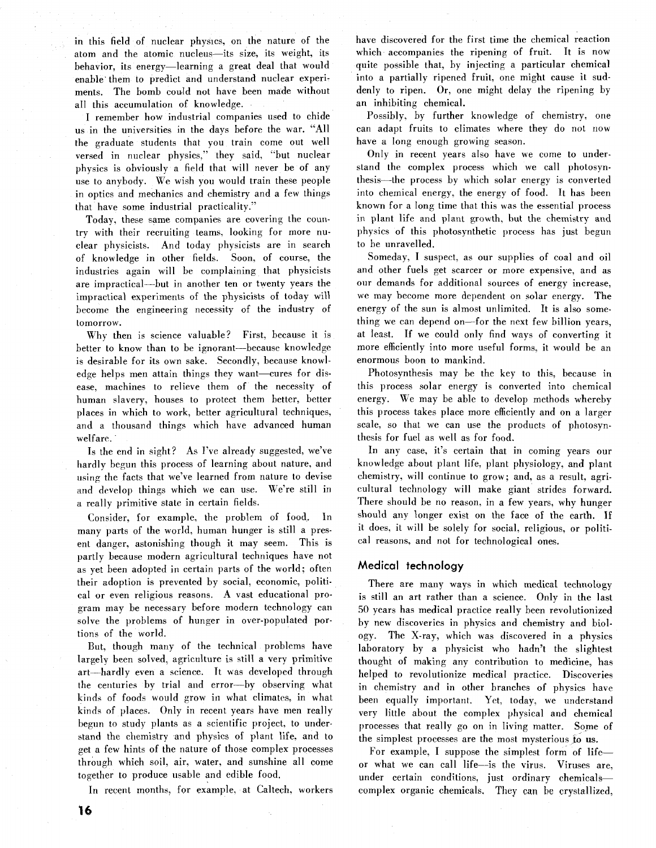in this field of nuclear physics, on the nature of the atom and the atomic nucleus-its size, its weight, its behavior, its energy-learning a great deal that would enable them to predict and understand nuclear experiments. The bomb could not have been made without all this accumulation of knowledge.

I remember how industrial companies used to chide us in the universities in the days before the war. "All the graduate students that you train come out well versed in nuclear physics," they said, "but nuclear physics is obviously a field that will never be of any use to anybody. We wish you would train these people in optics and mechanics and chemistry and a few things that have some industrial practicality."

Today, these same companies are covering; the country with their recruiting teams, looking for more nuclear physicists. And today physicists are in search of knowledge in other fields. Soon, of course, the industries again will be complaining that physicists are impractical-but in another ten or twenty years the impractical experiments of the physicists of today will become the engineering necessity of the industry of tomorrow.

Why then is science valuable? First, because it is better to know than to be ignorant-because knowledge is desirable for its own sake. Secondly, because knowledge helps men attain things they want-cures for disease, machines to relieve them of the necessity of human slavery, houses to protect them better, better places in which to work, better agricultural techniques, and a thousand things which have advanced human welfare.

Is the end in sight? As I've already suggested, we've hardly begun this process of learning about nature, and using the facts that we've learned from nature to devise and develop things which we can use. We're still in a really primitive state in certain fields.

Consider, for example, the problem of food. In many parts of the world, human hunger is still a present danger, astonishing though it may seem. This is partly because modern agricultural techniques have not as yet been adopted in certain parts of the world; often their adoption is prevented by social, economic, political or even religious reasons. A vast educational program may be necessary before modern technology can solve the problems of hunger in over-populated portions of the world.

But, though many of the technical problems have largely been solved, agriculture is still a very primitive art-hardly even a science. It was developed through the centuries by trial and error-by observing what kinds of foods would grow in what climates, in what kinds of places. Only in recent years have men really begun to study plants as a scientific project, to understand the chemistry and physics of plant life, and to get a few hints of the nature of those complex processes through which soil, air, water, and sunshine all come together to produce usable and edible food.

In recent months, for example, at Caltech, workers

have discovered for the first time the chemical reaction which accompanies the ripening of fruit. It is now quite possible that, by injecting a particular chemical into a partially ripened fruit, one might cause it suddenly to ripen. Or, one might delay the ripening by an inhibiting chemical.

Possibly, by further knowledge of chemistry, one can adapt fruits to climates where they do not now have a long enough growing season.

Only in recent years also have we come to understand the complex process which we call photosynthesis-the process by which solar energy is converted into chemical energy, the energy of food. It has been known for a long time that this was the essential process in plant life and plant growth, hut the chemistry and physics of this photosynthetic process has just begun to be unravelled.

Someday, I suspect, as our supplies of coal and oil and other fuels get scarcer or more expensive, and as our demands for additional sources of energy increase, we may become more dependent on solar energy. The energy of the sun is almost unlimited. It is also something we can depend on-for the next few billion years, at least. If we could only find ways of converting it more efficiently into more useful forms, it would be an enormous boon to mankind.

Photosynthesis may be the key to this, because in this process solar energy is converted into chemical energy. We may be able to develop methods whereby this process takes place more efficiently and on a larger scale, so that we can use the products of photosynthesis for fuel as well as for food.

In any case, it's certain that in coming years our knowledge about plant life, plant physiology, and plant chemistry, will continue to grow; and, as a result, agricultural technology will make giant strides forward. There should be no reason, in a few years, why hunger should any longer exist on the face of the earth. If it does, it will be solely for social, religious, or political reasons, and not for technological ones.

## **Medical technology**

There are many ways in which medical technology is still an art rather than a science. Only in the last 50 years has medical practice really been revolutionized by new discoveries in physics and chemistry and biology. The X-ray, which was discovered in a physics laboratory by a physicist who hadn't the slightest thought of making any contribution to medicine, has helped to revolutionize medical practice. Discoveries in chemistry and in other branches of physics have been equally important. Yet, today, we understand very little about the complex physical and chemical processes that really go on in living matter. Some of the simplest processes are the most mysterious to us.

For example, I suppose the simplest form of lifeor what we can call life-is the virus. Viruses are, under certain conditions, just ordinary chemicalscomplex organic chemicals. They can be crystallized,